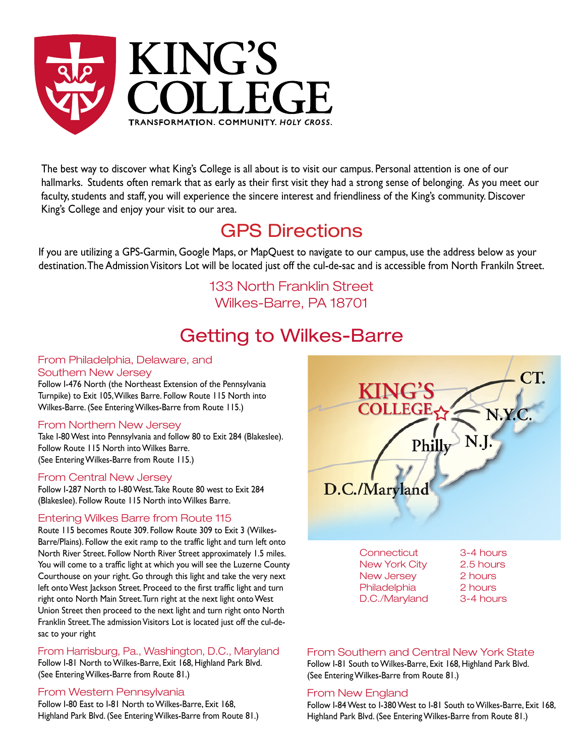

The best way to discover what King's College is all about is to visit our campus. Personal attention is one of our hallmarks. Students often remark that as early as their first visit they had a strong sense of belonging. As you meet our faculty, students and staff, you will experience the sincere interest and friendliness of the King's community. Discover King's College and enjoy your visit to our area.

## GPS Directions

If you are utilizing a GPS-Garmin, Google Maps, or MapQuest to navigate to our campus, use the address below as your destination. The Admission Visitors Lot will be located just off the cul-de-sac and is accessible from North Frankiln Street.

> 133 North Franklin Street Wilkes-Barre, PA 18701

## Getting to Wilkes-Barre

#### From Philadelphia, Delaware, and Southern New Jersey

Follow I-476 North (the Northeast Extension of the Pennsylvania Turnpike) to Exit 105, Wilkes Barre. Follow Route 115 North into Wilkes-Barre. (See Entering Wilkes-Barre from Route 115.)

#### From Northern New Jersey

Take I-80 West into Pennsylvania and follow 80 to Exit 284 (Blakeslee). Follow Route 115 North into Wilkes Barre. (See Entering Wilkes-Barre from Route 115.)

#### From Central New Jersey

Follow I-287 North to I-80 West. Take Route 80 west to Exit 284 (Blakeslee). Follow Route 115 North into Wilkes Barre.

#### Entering Wilkes Barre from Route 115

Route 115 becomes Route 309. Follow Route 309 to Exit 3 (Wilkes-Barre/Plains). Follow the exit ramp to the traffic light and turn left onto North River Street. Follow North River Street approximately 1.5 miles. You will come to a traffic light at which you will see the Luzerne County Courthouse on your right. Go through this light and take the very next left onto West Jackson Street. Proceed to the first traffic light and turn right onto North Main Street. Turn right at the next light onto West Union Street then proceed to the next light and turn right onto North Franklin Street. The admission Visitors Lot is located just off the cul-desac to your right

From Harrisburg, Pa., Washington, D.C., Maryland

Follow I-81 North to Wilkes-Barre, Exit 168, Highland Park Blvd. (See Entering Wilkes-Barre from Route 81.)

#### From Western Pennsylvania

Follow I-80 East to I-81 North to Wilkes-Barre, Exit 168, Highland Park Blvd. (See Entering Wilkes-Barre from Route 81.)



D.C./Maryland 3-4 hours

#### From Southern and Central New York State

Follow I-81 South to Wilkes-Barre, Exit 168, Highland Park Blvd. (See Entering Wilkes-Barre from Route 81.)

#### From New England

Follow I-84 West to I-380 West to I-81 South to Wilkes-Barre, Exit 168, Highland Park Blvd. (See Entering Wilkes-Barre from Route 81.)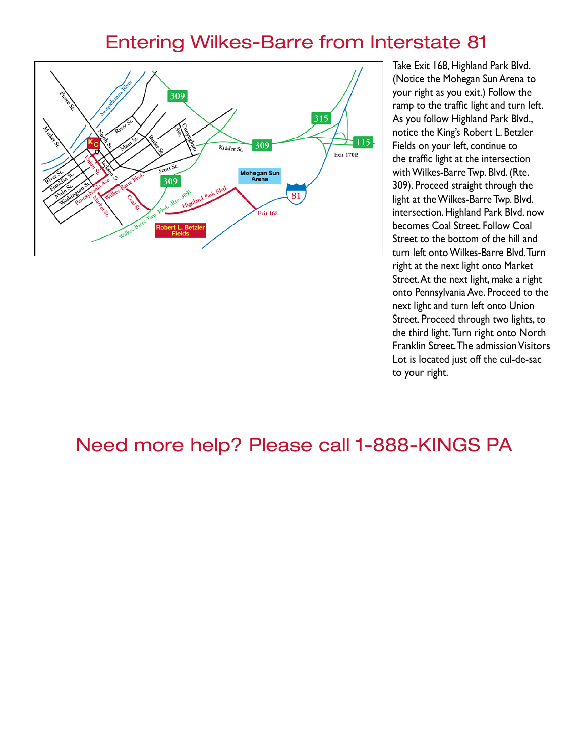### Entering Wilkes-Barre from Interstate 81



Take Exit 168, Highland Park Blvd. (Notice the Mohegan Sun Arena to your right as you exit.) Follow the ramp to the traffic light and turn left. As you follow Highland Park Blvd., notice the King's Robert L. Betzler Fields on your left, continue to the traffic light at the intersection with Wilkes-Barre Twp. Blvd. (Rte. 309). Proceed straight through the light at the Wilkes-Barre Twp. Blvd. intersection. Highland Park Blvd. now becomes Coal Street. Follow Coal Street to the bottom of the hill and turn left onto Wilkes-Barre Blvd. Turn right at the next light onto Market Street. At the next light, make a right onto Pennsylvania Ave. Proceed to the next light and turn left onto Union Street. Proceed through two lights, to the third light. Turn right onto North Franklin Street. The admission Visitors Lot is located just off the cul-de-sac to your right.

## Need more help? Please call 1-888-KINGS PA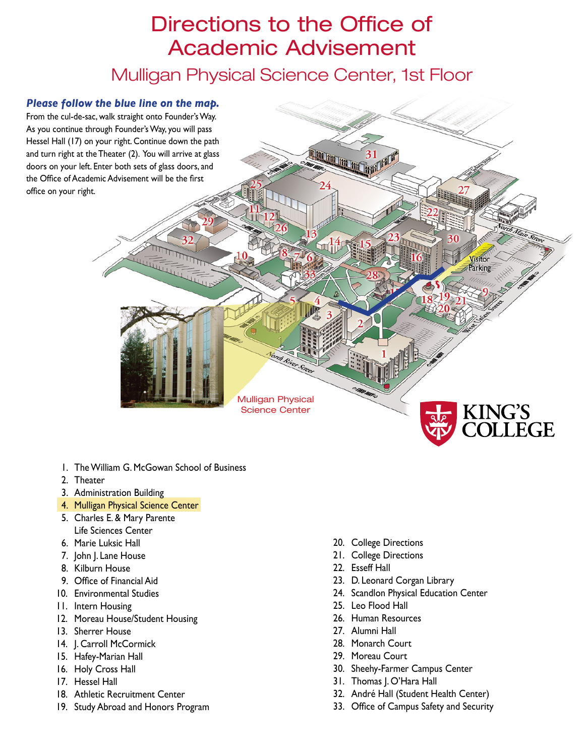## Directions to the Office of Academic Advisement

Mulligan Physical Science Center, 1st Floor



- 1. The William G. McGowan School of Business
- 2. Theater
- 3. Administration Building
- 4. Mulligan Physical Science Center
- 5. Charles E. & Mary Parente Life Sciences Center
- 6. Marie Luksic Hall
- 7. John J. Lane House
- 8. Kilburn House
- 9. Office of Financial Aid
- 10. Environmental Studies
- 11. Intern Housing
- 12. Moreau House/Student Housing
- 13. Sherrer House
- 14. J. Carroll McCormick
- 15. Hafey-Marian Hall
- 16. Holy Cross Hall
- 17. Hessel Hall
- 18. Athletic Recruitment Center
- 19. Study Abroad and Honors Program
- 20. College Directions
- 21. College Directions
- 22. Esseff Hall
- 23. D. Leonard Corgan Library
- 24. Scandlon Physical Education Center
- 25. Leo Flood Hall
- 26. Human Resources
- 27. Alumni Hall
- 28. Monarch Court
- 29. Moreau Court
- 30. Sheehy-Farmer Campus Center
- 31. Thomas J. O'Hara Hall
- 32. André Hall (Student Health Center)
- 33. Office of Campus Safety and Security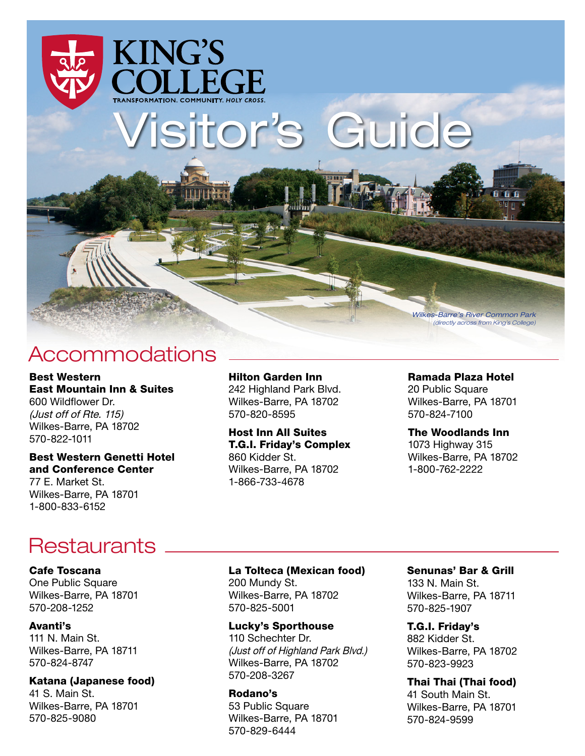

Wilkes-Barre's River Common Park (directly across from King's College)

## Accommodations

Best Western East Mountain Inn & Suites 600 Wildflower Dr. (Just off of Rte. 115) Wilkes-Barre, PA 18702 570-822-1011

#### Best Western Genetti Hotel and Conference Center 77 E. Market St. Wilkes-Barre, PA 18701

Hilton Garden Inn 242 Highland Park Blvd. Wilkes-Barre, PA 18702

570-820-8595 Host Inn All Suites

T.G.I. Friday's Complex 860 Kidder St. Wilkes-Barre, PA 18702 1-866-733-4678

#### Ramada Plaza Hotel

20 Public Square Wilkes-Barre, PA 18701 570-824-7100

#### The Woodlands Inn

1073 Highway 315 Wilkes-Barre, PA 18702 1-800-762-2222

## **Restaurants**

#### Cafe Toscana

1-800-833-6152

One Public Square Wilkes-Barre, PA 18701 570-208-1252

#### Avanti's

111 N. Main St. Wilkes-Barre, PA 18711 570-824-8747

#### Katana (Japanese food)

41 S. Main St. Wilkes-Barre, PA 18701 570-825-9080

La Tolteca (Mexican food) 200 Mundy St. Wilkes-Barre, PA 18702 570-825-5001

#### Lucky's Sporthouse

110 Schechter Dr. (Just off of Highland Park Blvd.) Wilkes-Barre, PA 18702 570-208-3267

#### Rodano's

53 Public Square Wilkes-Barre, PA 18701 570-829-6444

#### Senunas' Bar & Grill

133 N. Main St. Wilkes-Barre, PA 18711 570-825-1907

#### T.G.I. Friday's

882 Kidder St. Wilkes-Barre, PA 18702 570-823-9923

#### Thai Thai (Thai food)

41 South Main St. Wilkes-Barre, PA 18701 570-824-9599